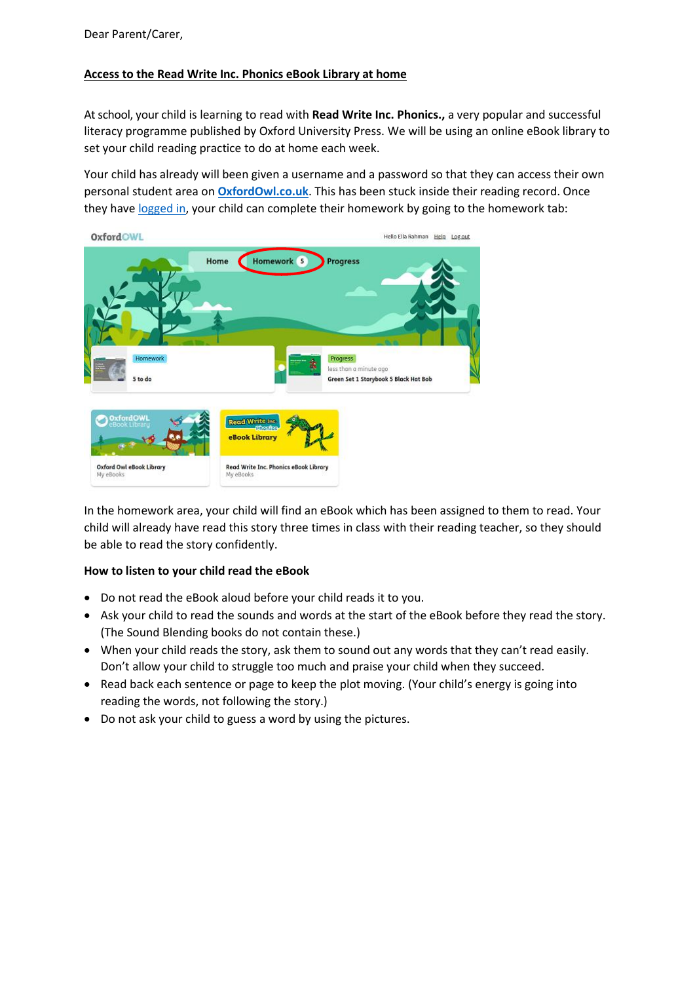## **Access to the Read Write Inc. Phonics eBook Library at home**

At school, your child is learning to read with **Read Write Inc. Phonics.,** a very popular and successful literacy programme published by Oxford University Press. We will be using an online eBook library to set your child reading practice to do at home each week.

Your child has already will been given a username and a password so that they can access their own personal student area on **[OxfordOwl.co.uk](https://www.oxfordowl.co.uk/)**. This has been stuck inside their reading record. Once they hav[e logged in,](https://www.oxfordowl.co.uk/login?active-tab=students) your child can complete their homework by going to the homework tab:



In the homework area, your child will find an eBook which has been assigned to them to read. Your child will already have read this story three times in class with their reading teacher, so they should be able to read the story confidently.

## **How to listen to your child read the eBook**

- Do not read the eBook aloud before your child reads it to you.
- Ask your child to read the sounds and words at the start of the eBook before they read the story. (The Sound Blending books do not contain these.)
- When your child reads the story, ask them to sound out any words that they can't read easily. Don't allow your child to struggle too much and praise your child when they succeed.
- Read back each sentence or page to keep the plot moving. (Your child's energy is going into reading the words, not following the story.)
- Do not ask your child to guess a word by using the pictures.